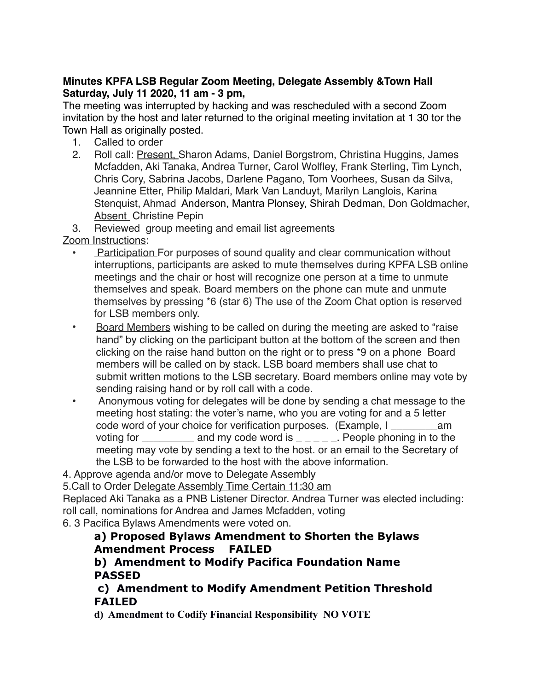### **Minutes KPFA LSB Regular Zoom Meeting, Delegate Assembly &Town Hall Saturday, July 11 2020, 11 am - 3 pm,**

The meeting was interrupted by hacking and was rescheduled with a second Zoom invitation by the host and later returned to the original meeting invitation at 1 30 tor the Town Hall as originally posted.

- 1. Called to order
- 2. Roll call: Present, Sharon Adams, Daniel Borgstrom, Christina Huggins, James Mcfadden, Aki Tanaka, Andrea Turner, Carol Wolfley, Frank Sterling, Tim Lynch, Chris Cory, Sabrina Jacobs, Darlene Pagano, Tom Voorhees, Susan da Silva, Jeannine Etter, Philip Maldari, Mark Van Landuyt, Marilyn Langlois, Karina Stenquist, Ahmad Anderson, Mantra Plonsey, Shirah Dedman, Don Goldmacher, **Absent** Christine Pepin

3. Reviewed group meeting and email list agreements

Zoom Instructions:

- **Participation For purposes of sound quality and clear communication without** interruptions, participants are asked to mute themselves during KPFA LSB online meetings and the chair or host will recognize one person at a time to unmute themselves and speak. Board members on the phone can mute and unmute themselves by pressing \*6 (star 6) The use of the Zoom Chat option is reserved for LSB members only.
- Board Members wishing to be called on during the meeting are asked to "raise hand" by clicking on the participant button at the bottom of the screen and then clicking on the raise hand button on the right or to press \*9 on a phone Board members will be called on by stack. LSB board members shall use chat to submit written motions to the LSB secretary. Board members online may vote by sending raising hand or by roll call with a code.
- Anonymous voting for delegates will be done by sending a chat message to the meeting host stating: the voter's name, who you are voting for and a 5 letter code word of your choice for verification purposes. (Example, I \_\_\_\_\_\_\_\_am voting for \_\_\_\_\_\_\_\_\_\_ and my code word is  $\Box \Box \Box \Box$  People phoning in to the meeting may vote by sending a text to the host. or an email to the Secretary of the LSB to be forwarded to the host with the above information.

4. Approve agenda and/or move to Delegate Assembly

5.Call to Order Delegate Assembly Time Certain 11:30 am

Replaced Aki Tanaka as a PNB Listener Director. Andrea Turner was elected including: roll call, nominations for Andrea and James Mcfadden, voting

6. 3 Pacifica Bylaws Amendments were voted on.

# **a) Proposed Bylaws Amendment to Shorten the Bylaws Amendment Process FAILED**

# **b) Amendment to Modify Pacifica Foundation Name PASSED**

# **c) Amendment to Modify Amendment Petition Threshold FAILED**

**d) Amendment to Codify Financial Responsibility NO VOTE**